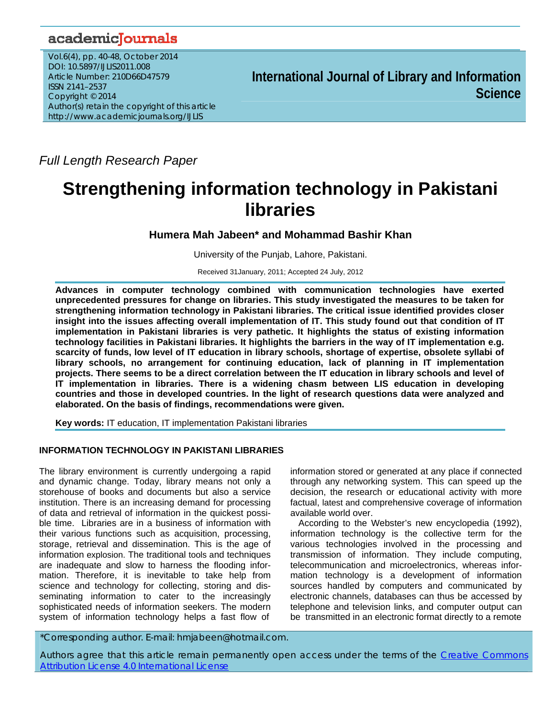# academicJournals

Vol.6(4), pp. 40-48, October 2014 DOI: 10.5897/IJLIS2011.008 Article Number: 210D66D47579 ISSN 2141–2537 Copyright © 2014 Author(s) retain the copyright of this article http://www.academicjournals.org/IJLIS

**International Journal of Library and Information Science**

*Full Length Research Paper*

# **Strengthening information technology in Pakistani libraries**

**Humera Mah Jabeen\* and Mohammad Bashir Khan** 

University of the Punjab, Lahore, Pakistani.

Received 31January, 2011; Accepted 24 July, 2012

**Advances in computer technology combined with communication technologies have exerted unprecedented pressures for change on libraries. This study investigated the measures to be taken for strengthening information technology in Pakistani libraries. The critical issue identified provides closer insight into the issues affecting overall implementation of IT. This study found out that condition of IT implementation in Pakistani libraries is very pathetic. It highlights the status of existing information technology facilities in Pakistani libraries. It highlights the barriers in the way of IT implementation e.g. scarcity of funds, low level of IT education in library schools, shortage of expertise, obsolete syllabi of library schools, no arrangement for continuing education, lack of planning in IT implementation projects. There seems to be a direct correlation between the IT education in library schools and level of IT implementation in libraries. There is a widening chasm between LIS education in developing countries and those in developed countries. In the light of research questions data were analyzed and elaborated. On the basis of findings, recommendations were given.** 

**Key words:** IT education, IT implementation Pakistani libraries

## **INFORMATION TECHNOLOGY IN PAKISTANI LIBRARIES**

The library environment is currently undergoing a rapid and dynamic change. Today, library means not only a storehouse of books and documents but also a service institution. There is an increasing demand for processing of data and retrieval of information in the quickest possible time. Libraries are in a business of information with their various functions such as acquisition, processing, storage, retrieval and dissemination. This is the age of information explosion. The traditional tools and techniques are inadequate and slow to harness the flooding information. Therefore, it is inevitable to take help from science and technology for collecting, storing and disseminating information to cater to the increasingly sophisticated needs of information seekers. The modern system of information technology helps a fast flow of

information stored or generated at any place if connected through any networking system. This can speed up the decision, the research or educational activity with more factual, latest and comprehensive coverage of information available world over.

According to the Webster's new encyclopedia (1992), information technology is the collective term for the various technologies involved in the processing and transmission of information. They include computing, telecommunication and microelectronics, whereas information technology is a development of information sources handled by computers and communicated by electronic channels, databases can thus be accessed by telephone and television links, and computer output can be transmitted in an electronic format directly to a remote

\*Corresponding author. E-mail: hmjabeen@hotmail.com.

Authors agree that this article remain permanently open access under the terms of the Creative Commons Attribution License 4.0 International License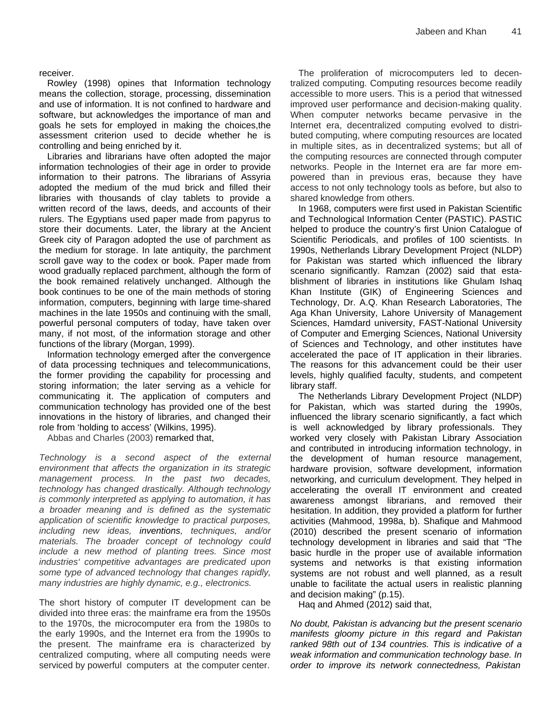#### receiver.

Rowley (1998) opines that Information technology means the collection, storage, processing, dissemination and use of information. It is not confined to hardware and software, but acknowledges the importance of man and goals he sets for employed in making the choices,the assessment criterion used to decide whether he is controlling and being enriched by it.

Libraries and librarians have often adopted the major information technologies of their age in order to provide information to their patrons. The librarians of Assyria adopted the medium of the mud brick and filled their libraries with thousands of clay tablets to provide a written record of the laws, deeds, and accounts of their rulers. The Egyptians used paper made from papyrus to store their documents. Later, the library at the Ancient Greek city of Paragon adopted the use of parchment as the medium for storage. In late antiquity, the parchment scroll gave way to the codex or book. Paper made from wood gradually replaced parchment, although the form of the book remained relatively unchanged. Although the book continues to be one of the main methods of storing information, computers, beginning with large time-shared machines in the late 1950s and continuing with the small, powerful personal computers of today, have taken over many, if not most, of the information storage and other functions of the library (Morgan, 1999).

Information technology emerged after the convergence of data processing techniques and telecommunications, the former providing the capability for processing and storing information; the later serving as a vehicle for communicating it. The application of computers and communication technology has provided one of the best innovations in the history of libraries, and changed their role from 'holding to access' (Wilkins, 1995).

Abbas and Charles (2003) remarked that,

*Technology is a second aspect of the external environment that affects the organization in its strategic management process. In the past two decades, technology has changed drastically. Although technology is commonly interpreted as applying to automation, it has a broader meaning and is defined as the systematic application of scientific knowledge to practical purposes, including new ideas, inventions, techniques, and/or materials. The broader concept of technology could include a new method of planting trees. Since most industries' competitive advantages are predicated upon some type of advanced technology that changes rapidly, many industries are highly dynamic, e.g., electronics.*

The short history of computer IT development can be divided into three eras: the mainframe era from the 1950s to the 1970s, the microcomputer era from the 1980s to the early 1990s, and the Internet era from the 1990s to the present. The mainframe era is characterized by centralized computing, where all computing needs were serviced by powerful computers at the computer center.

The proliferation of microcomputers led to decentralized computing. Computing resources become readily accessible to more users. This is a period that witnessed improved user performance and decision-making quality. When computer networks became pervasive in the Internet era, decentralized computing evolved to distributed computing, where computing resources are located in multiple sites, as in decentralized systems; but all of the computing resources are connected through computer networks. People in the Internet era are far more empowered than in previous eras, because they have access to not only technology tools as before, but also to shared knowledge from others.

In 1968, computers were first used in Pakistan Scientific and Technological Information Center (PASTIC). PASTIC helped to produce the country's first Union Catalogue of Scientific Periodicals, and profiles of 100 scientists. In 1990s, Netherlands Library Development Project (NLDP) for Pakistan was started which influenced the library scenario significantly. Ramzan (2002) said that establishment of libraries in institutions like Ghulam Ishaq Khan Institute (GIK) of Engineering Sciences and Technology, Dr. A.Q. Khan Research Laboratories, The Aga Khan University, Lahore University of Management Sciences, Hamdard university, FAST-National University of Computer and Emerging Sciences, National University of Sciences and Technology, and other institutes have accelerated the pace of IT application in their libraries. The reasons for this advancement could be their user levels, highly qualified faculty, students, and competent library staff.

The Netherlands Library Development Project (NLDP) for Pakistan, which was started during the 1990s, influenced the library scenario significantly, a fact which is well acknowledged by library professionals. They worked very closely with Pakistan Library Association and contributed in introducing information technology, in the development of human resource management, hardware provision, software development, information networking, and curriculum development. They helped in accelerating the overall IT environment and created awareness amongst librarians, and removed their hesitation. In addition, they provided a platform for further activities (Mahmood, 1998a, b). Shafique and Mahmood (2010) described the present scenario of information technology development in libraries and said that "The basic hurdle in the proper use of available information systems and networks is that existing information systems are not robust and well planned, as a result unable to facilitate the actual users in realistic planning and decision making" (p.15).

Haq and Ahmed (2012) said that,

*No doubt, Pakistan is advancing but the present scenario manifests gloomy picture in this regard and Pakistan ranked 98th out of 134 countries. This is indicative of a weak information and communication technology base. In order to improve its network connectedness, Pakistan*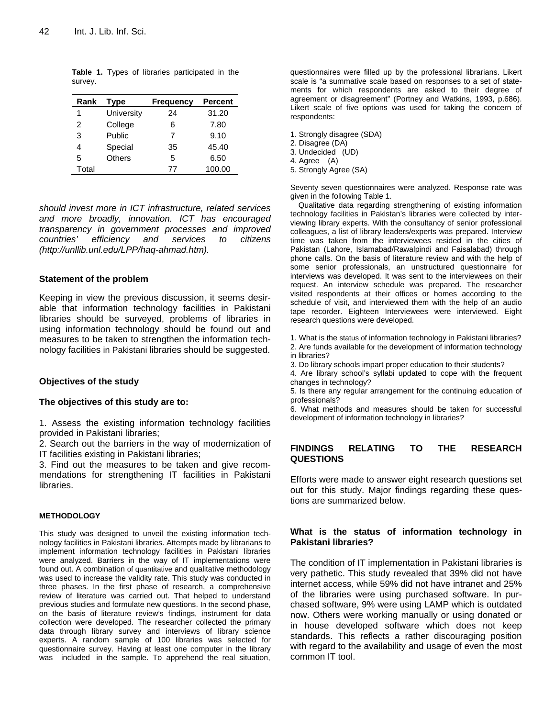| Rank  | <b>Type</b> | <b>Frequency</b> | <b>Percent</b> |
|-------|-------------|------------------|----------------|
| 1     | University  | 24               | 31.20          |
| 2     | College     | 6                | 7.80           |
| 3     | Public      | 7                | 9.10           |
|       | Special     | 35               | 45.40          |
| 5     | Others      | 5                | 6.50           |
| Total |             | 77               | 100.00         |

**Table 1.** Types of libraries participated in the survey.

*should invest more in ICT infrastructure, related services and more broadly, innovation. ICT has encouraged transparency in government processes and improved countries' efficiency and services to citizens (http://unllib.unl.edu/LPP/haq-ahmad.htm).*

#### **Statement of the problem**

Keeping in view the previous discussion, it seems desirable that information technology facilities in Pakistani libraries should be surveyed, problems of libraries in using information technology should be found out and measures to be taken to strengthen the information technology facilities in Pakistani libraries should be suggested.

#### **Objectives of the study**

#### **The objectives of this study are to:**

1. Assess the existing information technology facilities provided in Pakistani libraries;

2. Search out the barriers in the way of modernization of IT facilities existing in Pakistani libraries;

3. Find out the measures to be taken and give recommendations for strengthening IT facilities in Pakistani libraries.

#### **METHODOLOGY**

This study was designed to unveil the existing information technology facilities in Pakistani libraries. Attempts made by librarians to implement information technology facilities in Pakistani libraries were analyzed. Barriers in the way of IT implementations were found out. A combination of quantitative and qualitative methodology was used to increase the validity rate. This study was conducted in three phases. In the first phase of research, a comprehensive review of literature was carried out. That helped to understand previous studies and formulate new questions. In the second phase, on the basis of literature review's findings, instrument for data collection were developed. The researcher collected the primary data through library survey and interviews of library science experts. A random sample of 100 libraries was selected for questionnaire survey. Having at least one computer in the library was included in the sample. To apprehend the real situation,

questionnaires were filled up by the professional librarians. Likert scale is "a summative scale based on responses to a set of statements for which respondents are asked to their degree of agreement or disagreement" (Portney and Watkins, 1993, p.686). Likert scale of five options was used for taking the concern of respondents:

1. Strongly disagree (SDA)

2. Disagree (DA)

3. Undecided (UD)

4. Agree (A)

5. Strongly Agree (SA)

Seventy seven questionnaires were analyzed. Response rate was given in the following Table 1.

Qualitative data regarding strengthening of existing information technology facilities in Pakistan's libraries were collected by interviewing library experts. With the consultancy of senior professional colleagues, a list of library leaders/experts was prepared. Interview time was taken from the interviewees resided in the cities of Pakistan (Lahore, Islamabad/Rawalpindi and Faisalabad) through phone calls. On the basis of literature review and with the help of some senior professionals, an unstructured questionnaire for interviews was developed. It was sent to the interviewees on their request. An interview schedule was prepared. The researcher visited respondents at their offices or homes according to the schedule of visit, and interviewed them with the help of an audio tape recorder. Eighteen Interviewees were interviewed. Eight research questions were developed.

1. What is the status of information technology in Pakistani libraries? 2. Are funds available for the development of information technology in libraries?

3. Do library schools impart proper education to their students?

4. Are library school's syllabi updated to cope with the frequent changes in technology?

5. Is there any regular arrangement for the continuing education of professionals?

6. What methods and measures should be taken for successful development of information technology in libraries?

#### **FINDINGS RELATING TO THE RESEARCH QUESTIONS**

Efforts were made to answer eight research questions set out for this study. Major findings regarding these questions are summarized below.

#### **What is the status of information technology in Pakistani libraries?**

The condition of IT implementation in Pakistani libraries is very pathetic. This study revealed that 39% did not have internet access, while 59% did not have intranet and 25% of the libraries were using purchased software. In purchased software, 9% were using LAMP which is outdated now. Others were working manually or using donated or in house developed software which does not keep standards. This reflects a rather discouraging position with regard to the availability and usage of even the most common IT tool.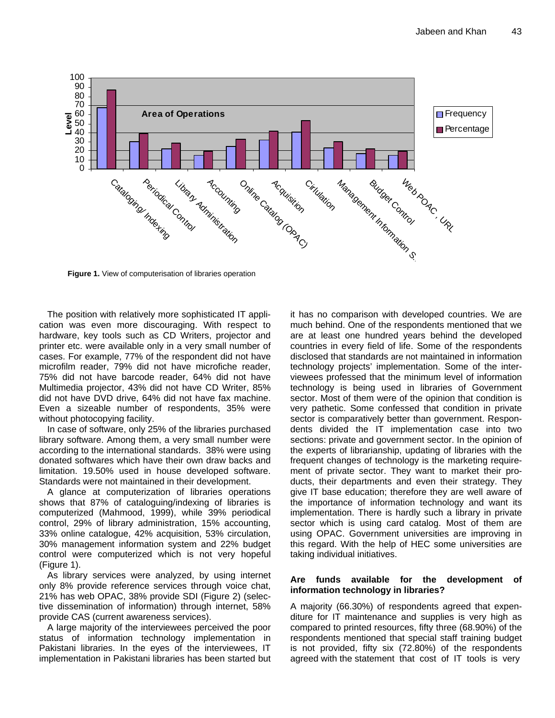

**Figure 1.** View of computerisation of libraries operation

The position with relatively more sophisticated IT application was even more discouraging. With respect to hardware, key tools such as CD Writers, projector and printer etc. were available only in a very small number of cases. For example, 77% of the respondent did not have microfilm reader, 79% did not have microfiche reader, 75% did not have barcode reader, 64% did not have Multimedia projector, 43% did not have CD Writer, 85% did not have DVD drive, 64% did not have fax machine. Even a sizeable number of respondents, 35% were without photocopying facility.

In case of software, only 25% of the libraries purchased library software. Among them, a very small number were according to the international standards. 38% were using donated softwares which have their own draw backs and limitation. 19.50% used in house developed software. Standards were not maintained in their development.

 A glance at computerization of libraries operations shows that 87% of cataloguing/indexing of libraries is computerized (Mahmood, 1999), while 39% periodical control, 29% of library administration, 15% accounting, 33% online catalogue, 42% acquisition, 53% circulation, 30% management information system and 22% budget control were computerized which is not very hopeful (Figure 1).

As library services were analyzed, by using internet only 8% provide reference services through voice chat, 21% has web OPAC, 38% provide SDI (Figure 2) (selective dissemination of information) through internet, 58% provide CAS (current awareness services).

A large majority of the interviewees perceived the poor status of information technology implementation in Pakistani libraries. In the eyes of the interviewees, IT implementation in Pakistani libraries has been started but it has no comparison with developed countries. We are much behind. One of the respondents mentioned that we are at least one hundred years behind the developed countries in every field of life. Some of the respondents disclosed that standards are not maintained in information technology projects' implementation. Some of the interviewees professed that the minimum level of information technology is being used in libraries of Government sector. Most of them were of the opinion that condition is very pathetic. Some confessed that condition in private sector is comparatively better than government. Respondents divided the IT implementation case into two sections: private and government sector. In the opinion of the experts of librarianship, updating of libraries with the frequent changes of technology is the marketing requirement of private sector. They want to market their products, their departments and even their strategy. They give IT base education; therefore they are well aware of the importance of information technology and want its implementation. There is hardly such a library in private sector which is using card catalog. Most of them are using OPAC. Government universities are improving in this regard. With the help of HEC some universities are taking individual initiatives.

#### **Are funds available for the development of information technology in libraries?**

A majority (66.30%) of respondents agreed that expenditure for IT maintenance and supplies is very high as compared to printed resources, fifty three (68.90%) of the respondents mentioned that special staff training budget is not provided, fifty six (72.80%) of the respondents agreed with the statement that cost of IT tools is very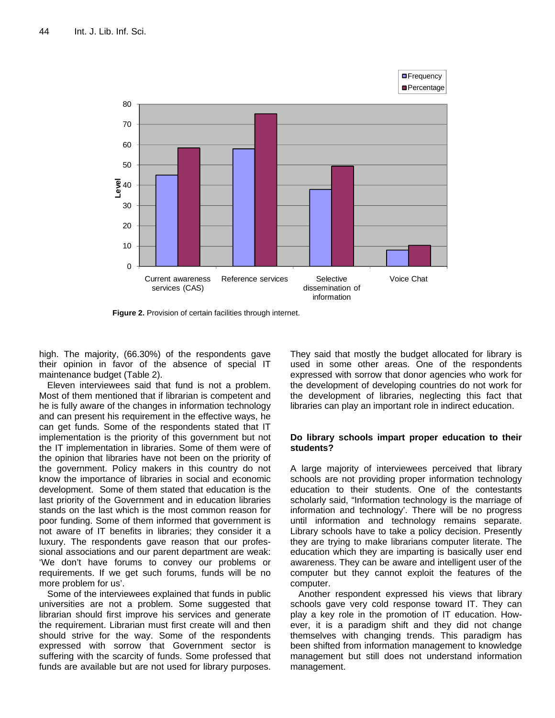

Figure 2. Provision of certain facilities through internet.

high. The majority, (66.30%) of the respondents gave their opinion in favor of the absence of special IT maintenance budget (Table 2).

Eleven interviewees said that fund is not a problem. Most of them mentioned that if librarian is competent and he is fully aware of the changes in information technology and can present his requirement in the effective ways, he can get funds. Some of the respondents stated that IT implementation is the priority of this government but not the IT implementation in libraries. Some of them were of the opinion that libraries have not been on the priority of the government. Policy makers in this country do not know the importance of libraries in social and economic development. Some of them stated that education is the last priority of the Government and in education libraries stands on the last which is the most common reason for poor funding. Some of them informed that government is not aware of IT benefits in libraries; they consider it a luxury. The respondents gave reason that our professional associations and our parent department are weak: 'We don't have forums to convey our problems or requirements. If we get such forums, funds will be no more problem for us'.

Some of the interviewees explained that funds in public universities are not a problem. Some suggested that librarian should first improve his services and generate the requirement. Librarian must first create will and then should strive for the way. Some of the respondents expressed with sorrow that Government sector is suffering with the scarcity of funds. Some professed that funds are available but are not used for library purposes. They said that mostly the budget allocated for library is used in some other areas. One of the respondents expressed with sorrow that donor agencies who work for the development of developing countries do not work for the development of libraries, neglecting this fact that libraries can play an important role in indirect education.

**D**Frequency

#### **Do library schools impart proper education to their students?**

A large majority of interviewees perceived that library schools are not providing proper information technology education to their students. One of the contestants scholarly said, "Information technology is the marriage of information and technology'. There will be no progress until information and technology remains separate. Library schools have to take a policy decision. Presently they are trying to make librarians computer literate. The education which they are imparting is basically user end awareness. They can be aware and intelligent user of the computer but they cannot exploit the features of the computer.

Another respondent expressed his views that library schools gave very cold response toward IT. They can play a key role in the promotion of IT education. However, it is a paradigm shift and they did not change themselves with changing trends. This paradigm has been shifted from information management to knowledge management but still does not understand information management.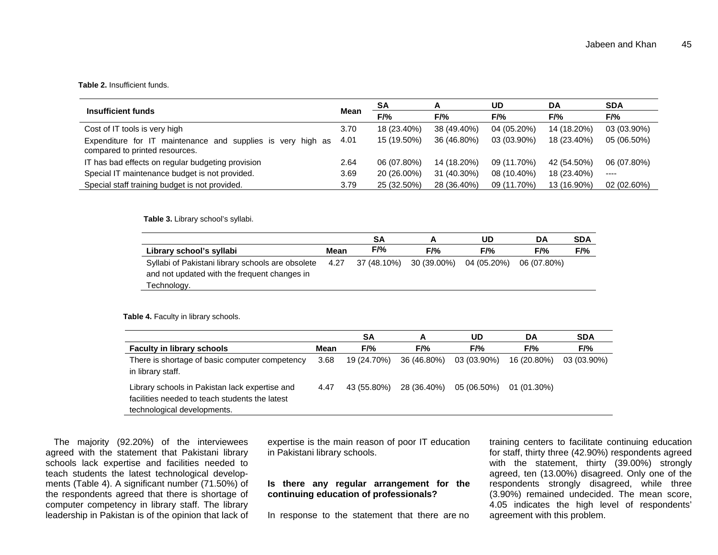#### **Table 2.** Insufficient funds.

| Insufficient funds                                                                               |      | SA          | A           | UD.         | DA          | <b>SDA</b>  |
|--------------------------------------------------------------------------------------------------|------|-------------|-------------|-------------|-------------|-------------|
|                                                                                                  |      | F/%         | F/%         | F/%         | F/%         | $F/$ %      |
| Cost of IT tools is very high                                                                    | 3.70 | 18 (23.40%) | 38 (49.40%) | 04 (05.20%) | 14 (18.20%) | 03 (03.90%) |
| Expenditure for IT maintenance and supplies is very<br>high as<br>compared to printed resources. | 4.01 | 15 (19.50%) | 36 (46.80%) | 03 (03.90%) | 18 (23.40%) | 05 (06.50%) |
| IT has bad effects on regular budgeting provision                                                | 2.64 | 06 (07.80%) | 14 (18.20%) | 09 (11.70%) | 42 (54.50%) | 06 (07.80%) |
| Special IT maintenance budget is not provided.                                                   | 3.69 | 20 (26.00%) | 31 (40.30%) | 08 (10.40%) | 18 (23.40%) | $---$       |
| Special staff training budget is not provided.                                                   | 3.79 | 25 (32.50%) | 28 (36.40%) | 09 (11.70%) | 13 (16.90%) | 02 (02.60%) |

**Table 3.** Library school's syllabi.

|                                                                                                   |      | SΑ          |             | UD          | DA          | <b>SDA</b> |
|---------------------------------------------------------------------------------------------------|------|-------------|-------------|-------------|-------------|------------|
| Library school's syllabi                                                                          | Mean | F/%         | $F/$ %      | $F/$ %      | $F/$ %      | F/%        |
| Syllabi of Pakistani library schools are obsolete<br>and not updated with the frequent changes in | 4.27 | 37 (48.10%) | 30 (39.00%) | 04 (05.20%) | 06 (07.80%) |            |
| Technology.                                                                                       |      |             |             |             |             |            |

**Table 4.** Faculty in library schools.

|                                                                                                                                 |      | SΑ          | A           | UD          | DA            | <b>SDA</b>  |
|---------------------------------------------------------------------------------------------------------------------------------|------|-------------|-------------|-------------|---------------|-------------|
| <b>Faculty in library schools</b>                                                                                               | Mean | F/%         | F/%         | F/%         | $F/$ %        | $F/$ %      |
| There is shortage of basic computer competency<br>in library staff.                                                             | 3.68 | 19 (24.70%) | 36 (46.80%) | 03 (03.90%) | 16 (20.80%)   | 03 (03.90%) |
| Library schools in Pakistan lack expertise and<br>facilities needed to teach students the latest<br>technological developments. | 4.47 | 43 (55.80%) | 28 (36.40%) | 05 (06.50%) | $01(01.30\%)$ |             |

The majority (92.20%) of the interviewees agreed with the statement that Pakistani library schools lack expertise and facilities needed to teach students the latest technological developments (Table 4). A significant number (71.50%) of the respondents agreed that there is shortage of computer competency in library staff. The library leadership in Pakistan is of the opinion that lack of expertise is the main reason of poor IT education in Pakistani library schools.

**Is there any regular arrangement for the continuing education of professionals?** 

In response to the statement that there are no

training centers to facilitate continuing education for staff, thirty three (42.90%) respondents agreed with the statement, thirty (39.00%) strongly agreed, ten (13.00%) disagreed. Only one of the respondents strongly disagreed, while three (3.90%) remained undecided. The mean score, 4.05 indicates the high level of respondents' agreement with this problem.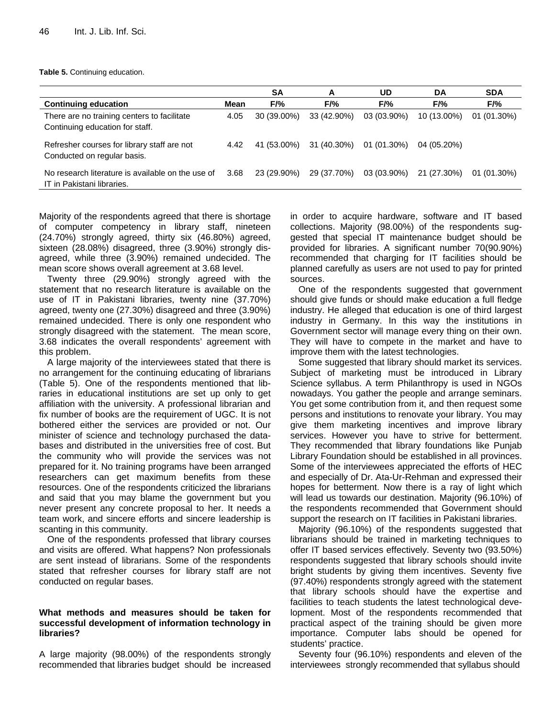#### **Table 5.** Continuing education.

|                                                                                 |      | <b>SA</b>   | A           | UD          | DA          | <b>SDA</b>    |
|---------------------------------------------------------------------------------|------|-------------|-------------|-------------|-------------|---------------|
| <b>Continuing education</b>                                                     | Mean | F/%         | F/%         | F/%         | F/%         | $F/$ %        |
| There are no training centers to facilitate<br>Continuing education for staff.  | 4.05 | 30 (39.00%) | 33 (42.90%) | 03 (03.90%) | 10 (13.00%) | 01 (01.30%)   |
| Refresher courses for library staff are not<br>Conducted on regular basis.      | 4.42 | 41 (53.00%) | 31 (40.30%) | 01 (01.30%) | 04 (05.20%) |               |
| No research literature is available on the use of<br>IT in Pakistani libraries. | 3.68 | 23 (29.90%) | 29 (37.70%) | 03 (03.90%) | 21 (27.30%) | $01(01.30\%)$ |

Majority of the respondents agreed that there is shortage of computer competency in library staff, nineteen (24.70%) strongly agreed, thirty six (46.80%) agreed, sixteen (28.08%) disagreed, three (3.90%) strongly disagreed, while three (3.90%) remained undecided. The mean score shows overall agreement at 3.68 level.

 Twenty three (29.90%) strongly agreed with the statement that no research literature is available on the use of IT in Pakistani libraries, twenty nine (37.70%) agreed, twenty one (27.30%) disagreed and three (3.90%) remained undecided. There is only one respondent who strongly disagreed with the statement. The mean score, 3.68 indicates the overall respondents' agreement with this problem.

A large majority of the interviewees stated that there is no arrangement for the continuing educating of librarians (Table 5). One of the respondents mentioned that libraries in educational institutions are set up only to get affiliation with the university. A professional librarian and fix number of books are the requirement of UGC. It is not bothered either the services are provided or not. Our minister of science and technology purchased the databases and distributed in the universities free of cost. But the community who will provide the services was not prepared for it. No training programs have been arranged researchers can get maximum benefits from these resources. One of the respondents criticized the librarians and said that you may blame the government but you never present any concrete proposal to her. It needs a team work, and sincere efforts and sincere leadership is scanting in this community.

One of the respondents professed that library courses and visits are offered. What happens? Non professionals are sent instead of librarians. Some of the respondents stated that refresher courses for library staff are not conducted on regular bases.

#### **What methods and measures should be taken for successful development of information technology in libraries?**

A large majority (98.00%) of the respondents strongly recommended that libraries budget should be increased in order to acquire hardware, software and IT based collections. Majority (98.00%) of the respondents suggested that special IT maintenance budget should be provided for libraries. A significant number 70(90.90%) recommended that charging for IT facilities should be planned carefully as users are not used to pay for printed sources.

One of the respondents suggested that government should give funds or should make education a full fledge industry. He alleged that education is one of third largest industry in Germany. In this way the institutions in Government sector will manage every thing on their own. They will have to compete in the market and have to improve them with the latest technologies.

 Some suggested that library should market its services. Subject of marketing must be introduced in Library Science syllabus. A term Philanthropy is used in NGOs nowadays. You gather the people and arrange seminars. You get some contribution from it, and then request some persons and institutions to renovate your library. You may give them marketing incentives and improve library services. However you have to strive for betterment. They recommended that library foundations like Punjab Library Foundation should be established in all provinces. Some of the interviewees appreciated the efforts of HEC and especially of Dr. Ata-Ur-Rehman and expressed their hopes for betterment. Now there is a ray of light which will lead us towards our destination. Majority (96.10%) of the respondents recommended that Government should support the research on IT facilities in Pakistani libraries.

Majority (96.10%) of the respondents suggested that librarians should be trained in marketing techniques to offer IT based services effectively. Seventy two (93.50%) respondents suggested that library schools should invite bright students by giving them incentives. Seventy five (97.40%) respondents strongly agreed with the statement that library schools should have the expertise and facilities to teach students the latest technological development. Most of the respondents recommended that practical aspect of the training should be given more importance. Computer labs should be opened for students' practice.

Seventy four (96.10%) respondents and eleven of the interviewees strongly recommended that syllabus should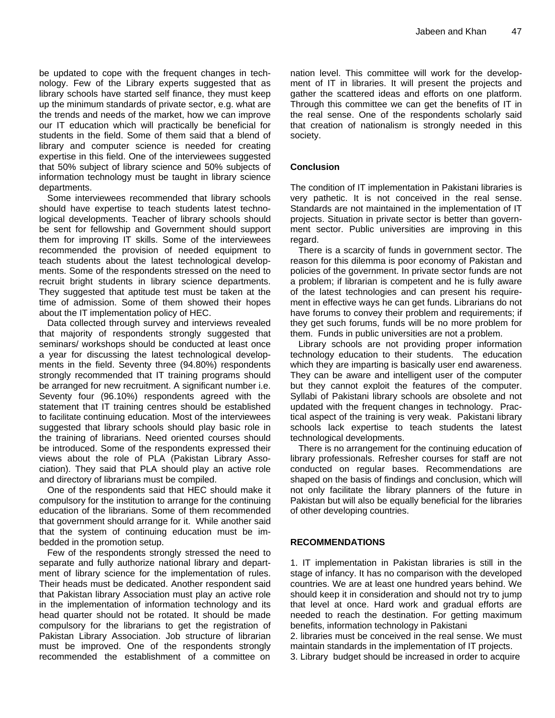be updated to cope with the frequent changes in technology. Few of the Library experts suggested that as library schools have started self finance, they must keep up the minimum standards of private sector, e.g. what are the trends and needs of the market, how we can improve our IT education which will practically be beneficial for students in the field. Some of them said that a blend of library and computer science is needed for creating expertise in this field. One of the interviewees suggested that 50% subject of library science and 50% subjects of information technology must be taught in library science departments.

Some interviewees recommended that library schools should have expertise to teach students latest technological developments. Teacher of library schools should be sent for fellowship and Government should support them for improving IT skills. Some of the interviewees recommended the provision of needed equipment to teach students about the latest technological developments. Some of the respondents stressed on the need to recruit bright students in library science departments. They suggested that aptitude test must be taken at the time of admission. Some of them showed their hopes about the IT implementation policy of HEC.

Data collected through survey and interviews revealed that majority of respondents strongly suggested that seminars/ workshops should be conducted at least once a year for discussing the latest technological developments in the field. Seventy three (94.80%) respondents strongly recommended that IT training programs should be arranged for new recruitment. A significant number i.e. Seventy four (96.10%) respondents agreed with the statement that IT training centres should be established to facilitate continuing education. Most of the interviewees suggested that library schools should play basic role in the training of librarians. Need oriented courses should be introduced. Some of the respondents expressed their views about the role of PLA (Pakistan Library Association). They said that PLA should play an active role and directory of librarians must be compiled.

 One of the respondents said that HEC should make it compulsory for the institution to arrange for the continuing education of the librarians. Some of them recommended that government should arrange for it. While another said that the system of continuing education must be imbedded in the promotion setup.

Few of the respondents strongly stressed the need to separate and fully authorize national library and department of library science for the implementation of rules. Their heads must be dedicated. Another respondent said that Pakistan library Association must play an active role in the implementation of information technology and its head quarter should not be rotated. It should be made compulsory for the librarians to get the registration of Pakistan Library Association. Job structure of librarian must be improved. One of the respondents strongly recommended the establishment of a committee on

nation level. This committee will work for the development of IT in libraries. It will present the projects and gather the scattered ideas and efforts on one platform. Through this committee we can get the benefits of IT in the real sense. One of the respondents scholarly said that creation of nationalism is strongly needed in this society.

# **Conclusion**

The condition of IT implementation in Pakistani libraries is very pathetic. It is not conceived in the real sense. Standards are not maintained in the implementation of IT projects. Situation in private sector is better than government sector. Public universities are improving in this regard.

There is a scarcity of funds in government sector. The reason for this dilemma is poor economy of Pakistan and policies of the government. In private sector funds are not a problem; if librarian is competent and he is fully aware of the latest technologies and can present his requirement in effective ways he can get funds. Librarians do not have forums to convey their problem and requirements; if they get such forums, funds will be no more problem for them. Funds in public universities are not a problem.

Library schools are not providing proper information technology education to their students. The education which they are imparting is basically user end awareness. They can be aware and intelligent user of the computer but they cannot exploit the features of the computer. Syllabi of Pakistani library schools are obsolete and not updated with the frequent changes in technology. Practical aspect of the training is very weak. Pakistani library schools lack expertise to teach students the latest technological developments.

There is no arrangement for the continuing education of library professionals. Refresher courses for staff are not conducted on regular bases. Recommendations are shaped on the basis of findings and conclusion, which will not only facilitate the library planners of the future in Pakistan but will also be equally beneficial for the libraries of other developing countries.

## **RECOMMENDATIONS**

1. IT implementation in Pakistan libraries is still in the stage of infancy. It has no comparison with the developed countries. We are at least one hundred years behind. We should keep it in consideration and should not try to jump that level at once. Hard work and gradual efforts are needed to reach the destination. For getting maximum benefits, information technology in Pakistani

2. libraries must be conceived in the real sense. We must maintain standards in the implementation of IT projects.

3. Library budget should be increased in order to acquire